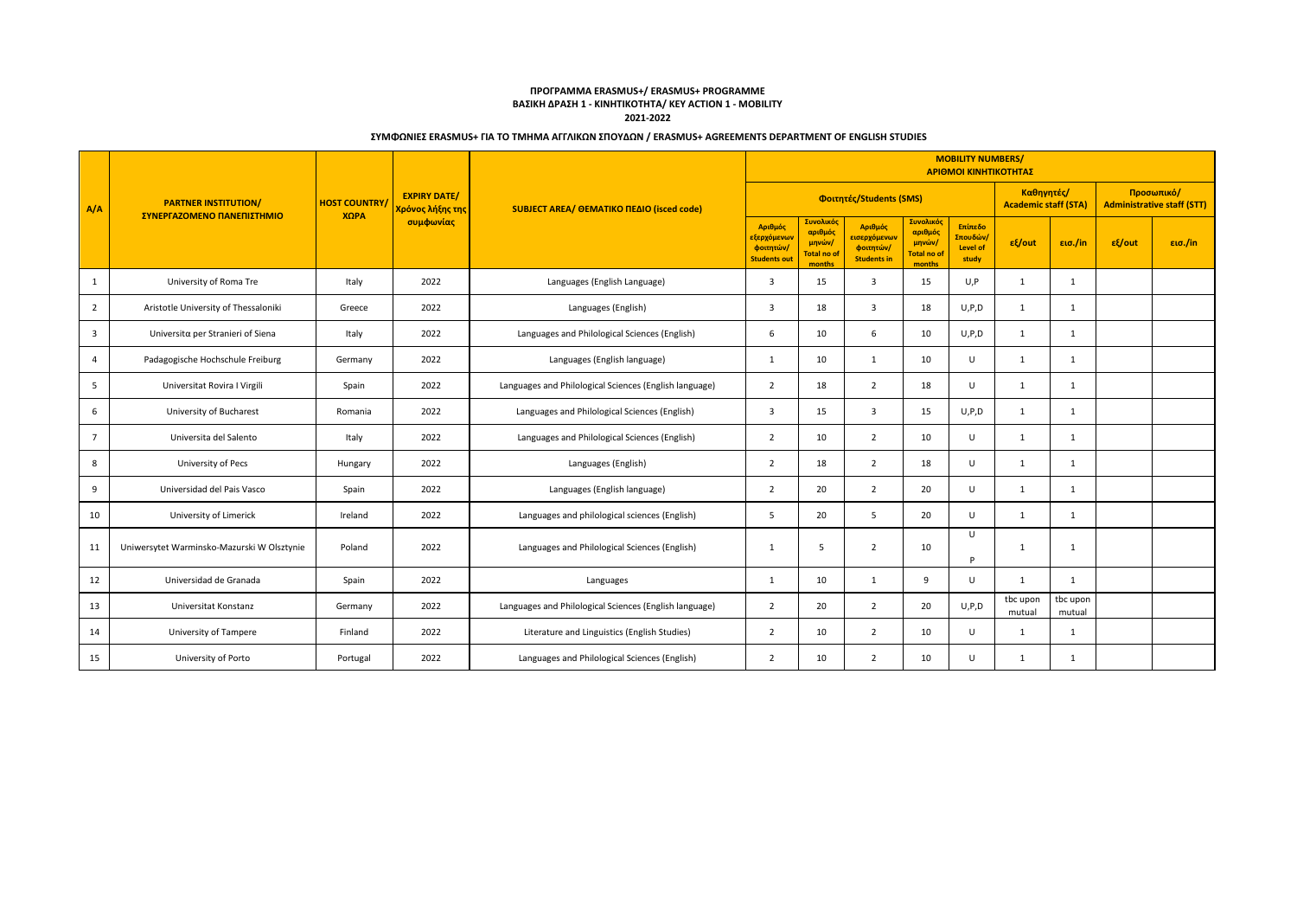|                         |                                                           |                             |                                                      | <b>MOBILITY NUMBERS/</b><br>ΑΡΙΘΜΟΙ ΚΙΝΗΤΙΚΟΤΗΤΑΣ      |                                                            |                                                        |                                                                          |                                                         |                                                        |                                           |                    |                                                 |         |  |
|-------------------------|-----------------------------------------------------------|-----------------------------|------------------------------------------------------|--------------------------------------------------------|------------------------------------------------------------|--------------------------------------------------------|--------------------------------------------------------------------------|---------------------------------------------------------|--------------------------------------------------------|-------------------------------------------|--------------------|-------------------------------------------------|---------|--|
| A/A                     | <b>PARTNER INSTITUTION/</b><br>ΣΥΝΕΡΓΑΖΟΜΕΝΟ ΠΑΝΕΠΙΣΤΗΜΙΟ | <b>HOST COUNTRY</b><br>ΧΩΡΑ | <b>EXPIRY DATE/</b><br>Χρόνος λήξης της<br>συμφωνίας | SUBJECT AREA/ OEMATIKO ΠΕΔΙΟ (isced code)              |                                                            |                                                        | Φοιτητές/Students (SMS)                                                  |                                                         |                                                        | Καθηγητές/<br><b>Academic staff (STA)</b> |                    | Προσωπικό/<br><b>Administrative staff (STT)</b> |         |  |
|                         |                                                           |                             |                                                      |                                                        | Αριθμός<br>εξερχόμενων<br>φοιτητών/<br><b>Students out</b> | Συνολικός<br>αριθμός<br>μηνών/<br>otal no of<br>months | Αριθμός<br><mark>εισερχόμεν</mark> ων<br>φοιτητών/<br><b>Students in</b> | Συνολικός<br>αριθμός<br>μηνών/<br>Total no of<br>months | Επίπεδο<br><mark>Σπουδών</mark> ,<br>Level of<br>study | $ε$ {/out                                 | εισ./in            | $ε$ {/out                                       | εισ./in |  |
| 1                       | University of Roma Tre                                    | Italy                       | 2022                                                 | Languages (English Language)                           | 3                                                          | 15                                                     | $\overline{3}$                                                           | 15                                                      | U, P                                                   | $\mathbf{1}$                              | 1                  |                                                 |         |  |
| $\overline{2}$          | Aristotle University of Thessaloniki                      | Greece                      | 2022                                                 | Languages (English)                                    | 3                                                          | 18                                                     | $\overline{\mathbf{3}}$                                                  | 18                                                      | U, P, D                                                | 1                                         | 1                  |                                                 |         |  |
| $\overline{\mathbf{3}}$ | Universitα per Stranieri of Siena                         | Italy                       | 2022                                                 | Languages and Philological Sciences (English)          | 6                                                          | 10                                                     | 6                                                                        | 10                                                      | U, P, D                                                | $\mathbf{1}$                              | $\mathbf{1}$       |                                                 |         |  |
| $\overline{4}$          | Padagogische Hochschule Freiburg                          | Germany                     | 2022                                                 | Languages (English language)                           | 1                                                          | 10                                                     | 1                                                                        | 10                                                      | $\cup$                                                 | 1                                         | 1                  |                                                 |         |  |
| 5                       | Universitat Rovira I Virgili                              | Spain                       | 2022                                                 | Languages and Philological Sciences (English language) | $\overline{2}$                                             | 18                                                     | $\overline{2}$                                                           | 18                                                      | $\cup$                                                 | 1                                         | 1                  |                                                 |         |  |
| 6                       | University of Bucharest                                   | Romania                     | 2022                                                 | Languages and Philological Sciences (English)          | 3                                                          | 15                                                     | $\overline{3}$                                                           | 15                                                      | U, P, D                                                | $\mathbf{1}$                              | 1                  |                                                 |         |  |
| $7^{\circ}$             | Universita del Salento                                    | Italy                       | 2022                                                 | Languages and Philological Sciences (English)          | $\overline{2}$                                             | 10                                                     | 2                                                                        | 10                                                      | U                                                      | 1                                         | 1                  |                                                 |         |  |
| 8                       | University of Pecs                                        | Hungary                     | 2022                                                 | Languages (English)                                    | $\overline{2}$                                             | 18                                                     | $\overline{2}$                                                           | 18                                                      | $\cup$                                                 | $\mathbf{1}$                              | 1                  |                                                 |         |  |
| 9                       | Universidad del Pais Vasco                                | Spain                       | 2022                                                 | Languages (English language)                           | $\overline{2}$                                             | 20                                                     | 2                                                                        | 20                                                      | $\cup$                                                 | 1                                         | 1                  |                                                 |         |  |
| 10                      | University of Limerick                                    | Ireland                     | 2022                                                 | Languages and philological sciences (English)          | 5                                                          | 20                                                     | 5                                                                        | 20                                                      | $\cup$                                                 | 1                                         | 1                  |                                                 |         |  |
| 11                      | Uniwersytet Warminsko-Mazurski W Olsztynie                | Poland                      | 2022                                                 | Languages and Philological Sciences (English)          | $\mathbf{1}$                                               | 5                                                      | $\overline{2}$                                                           | 10                                                      | $\cup$<br><b>D</b>                                     | $\mathbf{1}$                              | $\mathbf{1}$       |                                                 |         |  |
| 12                      | Universidad de Granada                                    | Spain                       | 2022                                                 | Languages                                              | $\mathbf{1}$                                               | 10                                                     | 1                                                                        | 9                                                       | $\cup$                                                 | $\mathbf{1}$                              | 1                  |                                                 |         |  |
| 13                      | Universitat Konstanz                                      | Germany                     | 2022                                                 | Languages and Philological Sciences (English language) | $\overline{2}$                                             | 20                                                     | $\overline{2}$                                                           | 20                                                      | U, P, D                                                | tbc upon<br>mutual                        | tbc upon<br>mutual |                                                 |         |  |
| 14                      | University of Tampere                                     | Finland                     | 2022                                                 | Literature and Linguistics (English Studies)           | $\overline{2}$                                             | 10                                                     | 2                                                                        | 10                                                      | U                                                      | 1                                         | 1                  |                                                 |         |  |
| 15                      | University of Porto                                       | Portugal                    | 2022                                                 | Languages and Philological Sciences (English)          | 2                                                          | 10                                                     | 2                                                                        | 10                                                      | $\cup$                                                 | 1                                         | 1                  |                                                 |         |  |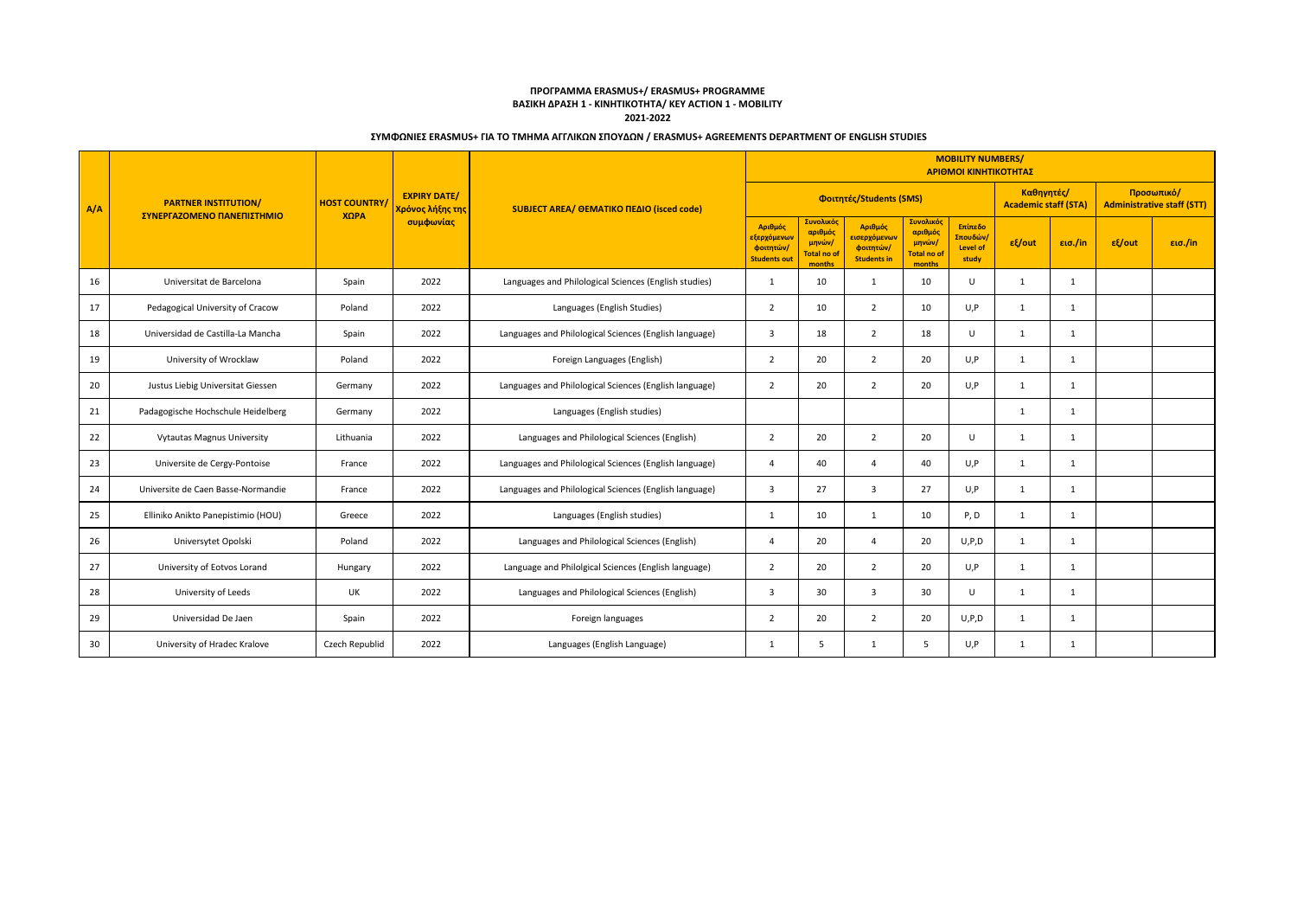|     |                                                           |                             |                                                      |                                                        | <b>MOBILITY NUMBERS/</b><br>ΑΡΙΘΜΟΙ ΚΙΝΗΤΙΚΟΤΗΤΑΣ                       |                                                         |                                                            |                                                         |                                                        |                                           |              |                                                 |         |  |  |
|-----|-----------------------------------------------------------|-----------------------------|------------------------------------------------------|--------------------------------------------------------|-------------------------------------------------------------------------|---------------------------------------------------------|------------------------------------------------------------|---------------------------------------------------------|--------------------------------------------------------|-------------------------------------------|--------------|-------------------------------------------------|---------|--|--|
| A/A | <b>PARTNER INSTITUTION/</b><br>ΣΥΝΕΡΓΑΖΟΜΕΝΟ ΠΑΝΕΠΙΣΤΗΜΙΟ | <b>HOST COUNTRY</b><br>ΧΩΡΑ | <b>EXPIRY DATE/</b><br>Χρόνος λήξης της<br>συμφωνίας | SUBJECT AREA/ OEMATIKO ΠΕΔΙΟ (isced code)              |                                                                         |                                                         | Φοιτητές/Students (SMS)                                    |                                                         |                                                        | Καθηγητές/<br><b>Academic staff (STA)</b> |              | Προσωπικό/<br><b>Administrative staff (STT)</b> |         |  |  |
|     |                                                           |                             |                                                      |                                                        | Αριθμός<br><mark>εξερχόμενων</mark><br>φοιτητών/<br><b>Students out</b> | Συνολικός<br>αριθμός<br>μηνών/<br>Total no of<br>months | Αριθμός<br>εισερχόμενων<br>φοιτητών/<br><b>Students in</b> | Συνολικός<br>αριθμός<br>μηνών/<br>Total no of<br>months | Επίπεδο<br><mark>Σπουδών</mark> ,<br>Level of<br>study | $ε$ {/out                                 | εισ./in      | εξ/out                                          | εισ./in |  |  |
| 16  | Universitat de Barcelona                                  | Spain                       | 2022                                                 | Languages and Philological Sciences (English studies)  | $\mathbf{1}$                                                            | 10                                                      | 1                                                          | 10                                                      | $\mathbf{U}$                                           | $\mathbf{1}$                              | $\mathbf{1}$ |                                                 |         |  |  |
| 17  | Pedagogical University of Cracow                          | Poland                      | 2022                                                 | Languages (English Studies)                            | $\overline{2}$                                                          | 10                                                      | $\overline{2}$                                             | 10                                                      | U, P                                                   | $\mathbf{1}$                              | 1            |                                                 |         |  |  |
| 18  | Universidad de Castilla-La Mancha                         | Spain                       | 2022                                                 | Languages and Philological Sciences (English language) | 3                                                                       | 18                                                      | $\overline{2}$                                             | 18                                                      | $\cup$                                                 | $\mathbf{1}$                              | 1            |                                                 |         |  |  |
| 19  | University of Wrocklaw                                    | Poland                      | 2022                                                 | Foreign Languages (English)                            | $\overline{2}$                                                          | 20                                                      | $\overline{2}$                                             | 20                                                      | U, P                                                   | $\mathbf{1}$                              | 1            |                                                 |         |  |  |
| 20  | Justus Liebig Universitat Giessen                         | Germany                     | 2022                                                 | Languages and Philological Sciences (English language) | $\overline{2}$                                                          | 20                                                      | 2                                                          | 20                                                      | U.P                                                    | $\mathbf{1}$                              | 1            |                                                 |         |  |  |
| 21  | Padagogische Hochschule Heidelberg                        | Germany                     | 2022                                                 | Languages (English studies)                            |                                                                         |                                                         |                                                            |                                                         |                                                        | $\mathbf{1}$                              | $\mathbf{1}$ |                                                 |         |  |  |
| 22  | <b>Vytautas Magnus University</b>                         | Lithuania                   | 2022                                                 | Languages and Philological Sciences (English)          | $\overline{2}$                                                          | 20                                                      | $\overline{2}$                                             | 20                                                      | $\cup$                                                 | 1                                         | 1            |                                                 |         |  |  |
| 23  | Universite de Cergy-Pontoise                              | France                      | 2022                                                 | Languages and Philological Sciences (English language) | $\overline{4}$                                                          | 40                                                      | $\overline{a}$                                             | 40                                                      | U, P                                                   | 1                                         | 1            |                                                 |         |  |  |
| 24  | Universite de Caen Basse-Normandie                        | France                      | 2022                                                 | Languages and Philological Sciences (English language) | 3                                                                       | 27                                                      | $\overline{3}$                                             | 27                                                      | U.P                                                    | 1                                         | 1            |                                                 |         |  |  |
| 25  | Elliniko Anikto Panepistimio (HOU)                        | Greece                      | 2022                                                 | Languages (English studies)                            | $\mathbf{1}$                                                            | 10                                                      | 1                                                          | 10                                                      | P.D                                                    | 1                                         | $\mathbf{1}$ |                                                 |         |  |  |
| 26  | Universytet Opolski                                       | Poland                      | 2022                                                 | Languages and Philological Sciences (English)          | $\overline{4}$                                                          | 20                                                      | $\overline{4}$                                             | 20                                                      | U, P, D                                                | 1                                         | 1            |                                                 |         |  |  |
| 27  | University of Eotvos Lorand                               | Hungary                     | 2022                                                 | Language and Philolgical Sciences (English language)   | $\overline{2}$                                                          | 20                                                      | $\overline{2}$                                             | 20                                                      | U, P                                                   | $\mathbf{1}$                              | 1            |                                                 |         |  |  |
| 28  | University of Leeds                                       | UK                          | 2022                                                 | Languages and Philological Sciences (English)          | 3                                                                       | 30                                                      | $\overline{3}$                                             | 30                                                      | $\mathbf{U}$                                           | 1                                         | 1            |                                                 |         |  |  |
| 29  | Universidad De Jaen                                       | Spain                       | 2022                                                 | Foreign languages                                      | $\overline{2}$                                                          | 20                                                      | $\overline{2}$                                             | 20                                                      | U, P, D                                                | 1                                         | 1            |                                                 |         |  |  |
| 30  | University of Hradec Kralove                              | Czech Republid              | 2022                                                 | Languages (English Language)                           | $\mathbf{1}$                                                            | 5                                                       | 1                                                          | -5                                                      | U.P                                                    | 1                                         | 1            |                                                 |         |  |  |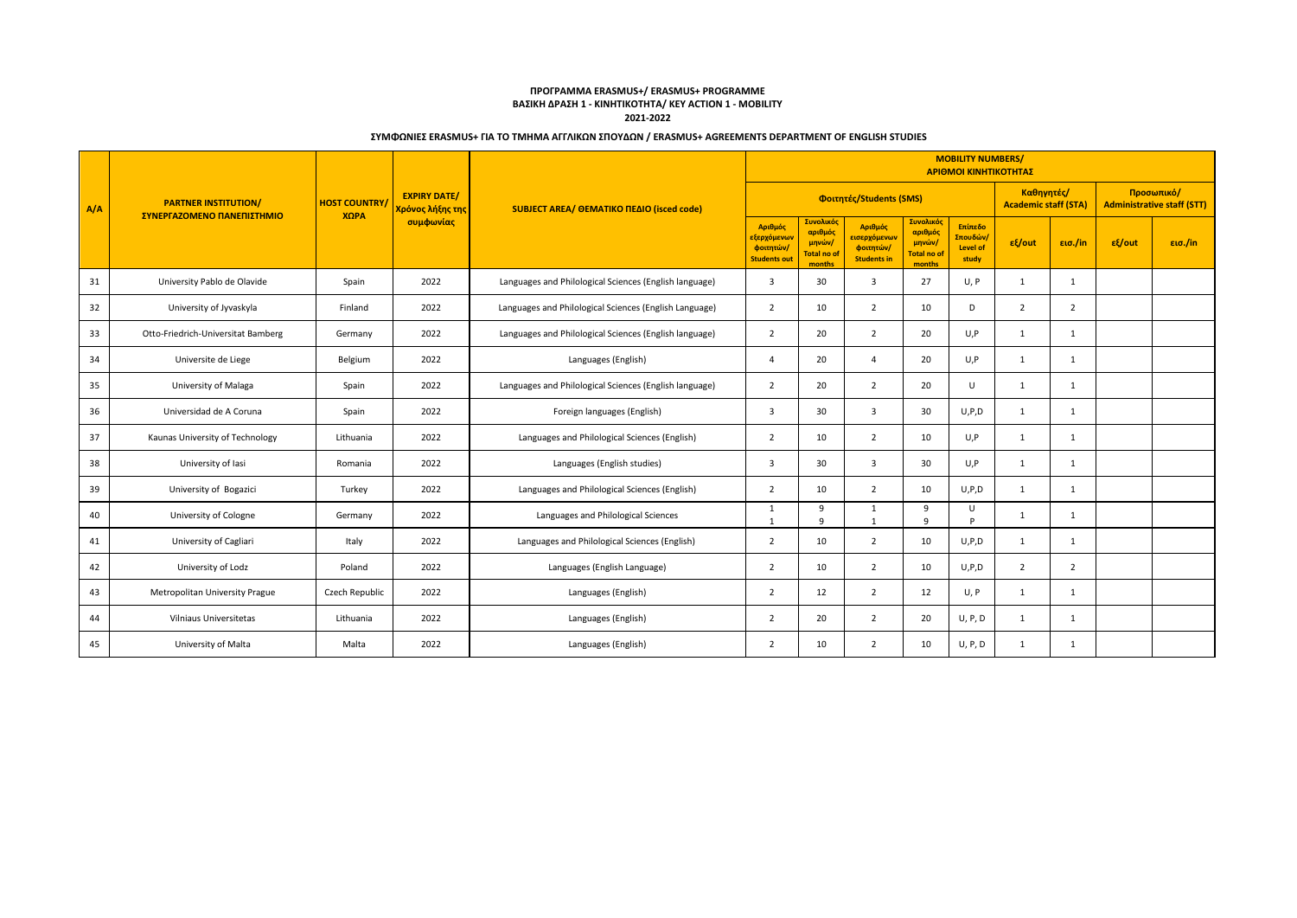|     |                                                           |                              |                                         |                                                        | <b>MOBILITY NUMBERS/</b><br>ΑΡΙΘΜΟΙ ΚΙΝΗΤΙΚΟΤΗΤΑΣ                       |                                                         |                                                            |                                                         |                                                        |                                           |                |                                                 |         |  |  |
|-----|-----------------------------------------------------------|------------------------------|-----------------------------------------|--------------------------------------------------------|-------------------------------------------------------------------------|---------------------------------------------------------|------------------------------------------------------------|---------------------------------------------------------|--------------------------------------------------------|-------------------------------------------|----------------|-------------------------------------------------|---------|--|--|
| A/A | <b>PARTNER INSTITUTION/</b><br>ΣΥΝΕΡΓΑΖΟΜΕΝΟ ΠΑΝΕΠΙΣΤΗΜΙΟ | <b>HOST COUNTRY/</b><br>ΧΩΡΑ | <b>EXPIRY DATE/</b><br>Χρόνος λήξης της | SUBJECT AREA/ OEMATIKO ΠΕΔΙΟ (isced code)              |                                                                         |                                                         | Φοιτητές/Students (SMS)                                    |                                                         |                                                        | Καθηγητές/<br><b>Academic staff (STA)</b> |                | Προσωπικό/<br><b>Administrative staff (STT)</b> |         |  |  |
|     |                                                           |                              | συμφωνίας                               |                                                        | Αριθμός<br><mark>εξερχόμενων</mark><br>φοιτητών/<br><b>Students out</b> | Συνολικός<br>αριθμός<br>μηνών/<br>Total no of<br>months | Αριθμός<br>εισερχόμενων<br>φοιτητών/<br><b>Students in</b> | Συνολικός<br>αριθμός<br>μηνών/<br>Total no of<br>months | Επίπεδο<br><mark>Σπουδών</mark> ,<br>Level of<br>study | $ε$ {/out                                 | εισ./in        | εξ/out                                          | εισ./in |  |  |
| 31  | University Pablo de Olavide                               | Spain                        | 2022                                    | Languages and Philological Sciences (English language) | $\overline{3}$                                                          | 30                                                      | $\overline{3}$                                             | 27                                                      | U, P                                                   | $\mathbf{1}$                              | $\mathbf{1}$   |                                                 |         |  |  |
| 32  | University of Jyvaskyla                                   | Finland                      | 2022                                    | Languages and Philological Sciences (English Language) | $\overline{2}$                                                          | 10                                                      | $\overline{2}$                                             | 10                                                      | D                                                      | $\overline{2}$                            | $\overline{2}$ |                                                 |         |  |  |
| 33  | Otto-Friedrich-Universitat Bamberg                        | Germany                      | 2022                                    | Languages and Philological Sciences (English language) | $\overline{2}$                                                          | 20                                                      | $\overline{2}$                                             | 20                                                      | U.P                                                    | 1                                         | 1              |                                                 |         |  |  |
| 34  | Universite de Liege                                       | Belgium                      | 2022                                    | Languages (English)                                    | $\overline{4}$                                                          | 20                                                      | $\overline{a}$                                             | 20                                                      | U, P                                                   | $\mathbf{1}$                              | 1              |                                                 |         |  |  |
| 35  | University of Malaga                                      | Spain                        | 2022                                    | Languages and Philological Sciences (English language) | $\overline{2}$                                                          | 20                                                      | 2                                                          | 20                                                      | $\cup$                                                 | 1                                         | 1              |                                                 |         |  |  |
| 36  | Universidad de A Coruna                                   | Spain                        | 2022                                    | Foreign languages (English)                            | $\overline{3}$                                                          | 30                                                      | $\overline{3}$                                             | 30                                                      | U, P, D                                                | 1                                         | $\mathbf{1}$   |                                                 |         |  |  |
| 37  | Kaunas University of Technology                           | Lithuania                    | 2022                                    | Languages and Philological Sciences (English)          | $\overline{2}$                                                          | 10                                                      | $\overline{2}$                                             | 10                                                      | U, P                                                   | 1                                         | 1              |                                                 |         |  |  |
| 38  | University of lasi                                        | Romania                      | 2022                                    | Languages (English studies)                            | 3                                                                       | 30                                                      | $\overline{\mathbf{3}}$                                    | 30                                                      | U, P                                                   | 1                                         | 1              |                                                 |         |  |  |
| 39  | University of Bogazici                                    | Turkey                       | 2022                                    | Languages and Philological Sciences (English)          | $\overline{2}$                                                          | 10                                                      | 2                                                          | 10                                                      | U, P, D                                                | 1                                         | 1              |                                                 |         |  |  |
| 40  | University of Cologne                                     | Germany                      | 2022                                    | Languages and Philological Sciences                    | 1<br>1                                                                  | 9<br>9                                                  | 1<br>$\mathbf{1}$                                          | 9<br>$\mathsf{q}$                                       | $\cup$<br><b>D</b>                                     | 1                                         | 1              |                                                 |         |  |  |
| 41  | University of Cagliari                                    | Italy                        | 2022                                    | Languages and Philological Sciences (English)          | $\overline{2}$                                                          | 10                                                      | $\overline{2}$                                             | 10                                                      | U, P, D                                                | 1                                         | 1              |                                                 |         |  |  |
| 42  | University of Lodz                                        | Poland                       | 2022                                    | Languages (English Language)                           | $\overline{2}$                                                          | 10                                                      | $\overline{2}$                                             | 10                                                      | U, P, D                                                | $\overline{2}$                            | $\overline{2}$ |                                                 |         |  |  |
| 43  | Metropolitan University Prague                            | Czech Republic               | 2022                                    | Languages (English)                                    | $\overline{2}$                                                          | 12                                                      | 2                                                          | 12                                                      | U, P                                                   | 1                                         | 1              |                                                 |         |  |  |
| 44  | Vilniaus Universitetas                                    | Lithuania                    | 2022                                    | Languages (English)                                    | $\overline{2}$                                                          | 20                                                      | $\overline{2}$                                             | 20                                                      | U, P, D                                                | 1                                         | 1              |                                                 |         |  |  |
| 45  | University of Malta                                       | Malta                        | 2022                                    | Languages (English)                                    | $\overline{2}$                                                          | 10                                                      | 2                                                          | 10                                                      | U, P, D                                                | 1                                         | 1              |                                                 |         |  |  |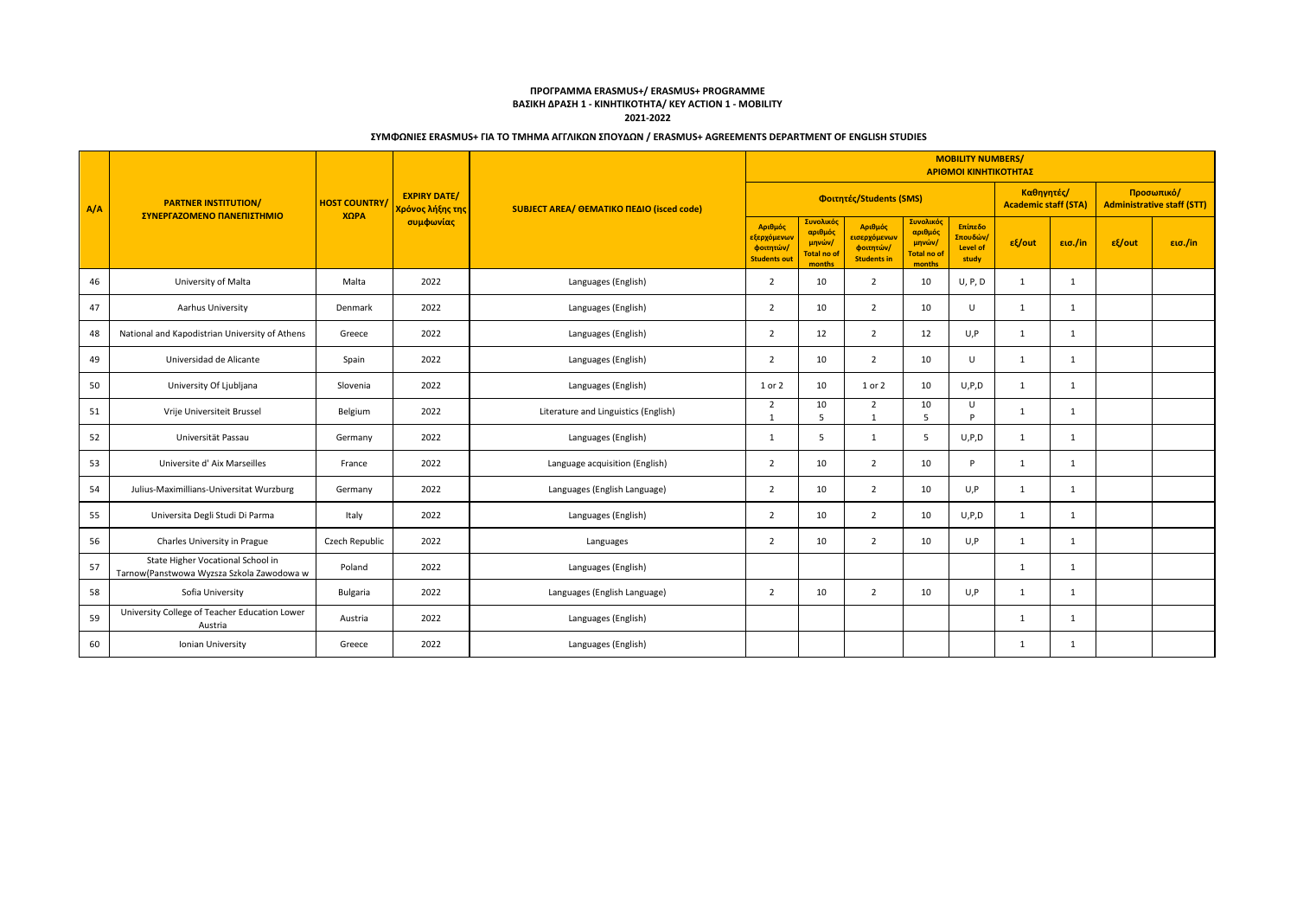|     |                                                                                |                             |                                                      |                                           |                                                            |                                                         |                                                                         |                                                                | <b>MOBILITY NUMBERS/</b><br>ΑΡΙΘΜΟΙ ΚΙΝΗΤΙΚΟΤΗΤΑΣ |                                           |              |                                                 |         |  |  |
|-----|--------------------------------------------------------------------------------|-----------------------------|------------------------------------------------------|-------------------------------------------|------------------------------------------------------------|---------------------------------------------------------|-------------------------------------------------------------------------|----------------------------------------------------------------|---------------------------------------------------|-------------------------------------------|--------------|-------------------------------------------------|---------|--|--|
| A/A | <b>PARTNER INSTITUTION/</b><br>ΣΥΝΕΡΓΑΖΟΜΕΝΟ ΠΑΝΕΠΙΣΤΗΜΙΟ                      | <b>HOST COUNTRY</b><br>XOPA | <b>EXPIRY DATE/</b><br>Χρόνος λήξης της<br>συμφωνίας | SUBJECT AREA/ OEMATIKO ΠΕΔΙΟ (isced code) |                                                            |                                                         | Φοιτητές/Students (SMS)                                                 |                                                                |                                                   | Καθηγητές/<br><b>Academic staff (STA)</b> |              | Προσωπικό/<br><b>Administrative staff (STT)</b> |         |  |  |
|     |                                                                                |                             |                                                      |                                           | Αριθμός<br>εξερχόμενων<br>φοιτητών/<br><b>Students out</b> | Συνολικός<br>αριθμός<br>μηνών/<br>Total no of<br>months | Αριθμός<br><mark>εισερχόμενων</mark><br>φοιτητών/<br><b>Students in</b> | Συνολικός<br>αριθμός<br>μηνών/<br><b>Total no of</b><br>months | Επίπεδο<br>Σπουδών/<br>Level of<br>study          | $\epsilon$ /out                           | εισ./in      | $ε$ {/out                                       | εισ./in |  |  |
| 46  | University of Malta                                                            | Malta                       | 2022                                                 | Languages (English)                       | $\overline{2}$                                             | 10                                                      | 2                                                                       | 10                                                             | U, P, D                                           | $\mathbf{1}$                              | 1            |                                                 |         |  |  |
| 47  | Aarhus University                                                              | Denmark                     | 2022                                                 | Languages (English)                       | $\overline{2}$                                             | 10                                                      | $\overline{2}$                                                          | 10                                                             | $\cup$                                            | 1                                         | 1            |                                                 |         |  |  |
| 48  | National and Kapodistrian University of Athens                                 | Greece                      | 2022                                                 | Languages (English)                       | $\overline{2}$                                             | 12                                                      | $\overline{2}$                                                          | 12                                                             | U, P                                              | 1                                         | 1            |                                                 |         |  |  |
| 49  | Universidad de Alicante                                                        | Spain                       | 2022                                                 | Languages (English)                       | $\overline{2}$                                             | 10                                                      | $\overline{2}$                                                          | 10                                                             | $\cup$                                            | 1                                         | $\mathbf{1}$ |                                                 |         |  |  |
| 50  | University Of Ljubljana                                                        | Slovenia                    | 2022                                                 | Languages (English)                       | 1 or 2                                                     | 10                                                      | 1 or 2                                                                  | 10                                                             | U, P, D                                           | 1                                         | 1            |                                                 |         |  |  |
| 51  | Vrije Universiteit Brussel                                                     | Belgium                     | 2022                                                 | Literature and Linguistics (English)      | $\overline{2}$                                             | 10<br>5                                                 | $\overline{2}$<br>1                                                     | 10<br>.5                                                       | $\mathbf{U}$<br>D                                 | $\mathbf{1}$                              | 1            |                                                 |         |  |  |
| 52  | Universität Passau                                                             | Germany                     | 2022                                                 | Languages (English)                       | $\mathbf{1}$                                               | 5                                                       | $\mathbf{1}$                                                            | .5                                                             | U, P, D                                           | 1                                         | $\mathbf{1}$ |                                                 |         |  |  |
| 53  | Universite d'Aix Marseilles                                                    | France                      | 2022                                                 | Language acquisition (English)            | $\overline{2}$                                             | 10                                                      | $\overline{2}$                                                          | 10                                                             | D                                                 | 1                                         | 1            |                                                 |         |  |  |
| 54  | Julius-Maximillians-Universitat Wurzburg                                       | Germany                     | 2022                                                 | Languages (English Language)              | 2                                                          | 10                                                      | 2                                                                       | 10                                                             | U.P                                               | 1                                         | 1            |                                                 |         |  |  |
| 55  | Universita Degli Studi Di Parma                                                | Italy                       | 2022                                                 | Languages (English)                       | $\overline{2}$                                             | 10                                                      | $\overline{2}$                                                          | 10                                                             | U, P, D                                           | 1                                         | 1            |                                                 |         |  |  |
| 56  | Charles University in Prague                                                   | Czech Republic              | 2022                                                 | Languages                                 | $\overline{2}$                                             | 10                                                      | $\overline{2}$                                                          | 10                                                             | U.P                                               | $\mathbf{1}$                              | 1            |                                                 |         |  |  |
| 57  | State Higher Vocational School in<br>Tarnow(Panstwowa Wyzsza Szkola Zawodowa w | Poland                      | 2022                                                 | Languages (English)                       |                                                            |                                                         |                                                                         |                                                                |                                                   | $\mathbf{1}$                              | 1            |                                                 |         |  |  |
| 58  | Sofia University                                                               | Bulgaria                    | 2022                                                 | Languages (English Language)              | $\overline{2}$                                             | 10                                                      | $\overline{2}$                                                          | 10                                                             | U, P                                              | 1                                         | $\mathbf{1}$ |                                                 |         |  |  |
| 59  | University College of Teacher Education Lower<br>Austria                       | Austria                     | 2022                                                 | Languages (English)                       |                                                            |                                                         |                                                                         |                                                                |                                                   | $\mathbf{1}$                              | 1            |                                                 |         |  |  |
| 60  | Ionian University                                                              | Greece                      | 2022                                                 | Languages (English)                       |                                                            |                                                         |                                                                         |                                                                |                                                   | 1                                         | $\mathbf{1}$ |                                                 |         |  |  |